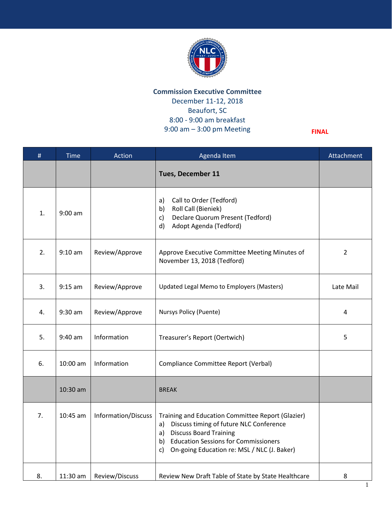

## **Commission Executive Committee** December 11-12, 2018 Beaufort, SC 8:00 - 9:00 am breakfast 9:00 am – 3:00 pm Meeting

**FINAL**

| #  | <b>Time</b> | Action              | Agenda Item                                                                                                                                                                                                                     | Attachment     |
|----|-------------|---------------------|---------------------------------------------------------------------------------------------------------------------------------------------------------------------------------------------------------------------------------|----------------|
|    |             |                     | Tues, December 11                                                                                                                                                                                                               |                |
| 1. | $9:00$ am   |                     | Call to Order (Tedford)<br>a)<br>Roll Call (Bieniek)<br>b)<br>Declare Quorum Present (Tedford)<br>$\mathsf{c}$ )<br>Adopt Agenda (Tedford)<br>d)                                                                                |                |
| 2. | $9:10$ am   | Review/Approve      | Approve Executive Committee Meeting Minutes of<br>November 13, 2018 (Tedford)                                                                                                                                                   | $\overline{2}$ |
| 3. | $9:15$ am   | Review/Approve      | Updated Legal Memo to Employers (Masters)                                                                                                                                                                                       | Late Mail      |
| 4. | $9:30$ am   | Review/Approve      | Nursys Policy (Puente)                                                                                                                                                                                                          | 4              |
| 5. | $9:40$ am   | Information         | Treasurer's Report (Oertwich)                                                                                                                                                                                                   | 5              |
| 6. | 10:00 am    | Information         | Compliance Committee Report (Verbal)                                                                                                                                                                                            |                |
|    | 10:30 am    |                     | <b>BREAK</b>                                                                                                                                                                                                                    |                |
| 7. | 10:45 am    | Information/Discuss | Training and Education Committee Report (Glazier)<br>Discuss timing of future NLC Conference<br>a)<br>a) Discuss Board Training<br>b) Education Sessions for Commissioners<br>On-going Education re: MSL / NLC (J. Baker)<br>c) |                |
| 8. | $11:30$ am  | Review/Discuss      | Review New Draft Table of State by State Healthcare                                                                                                                                                                             | 8              |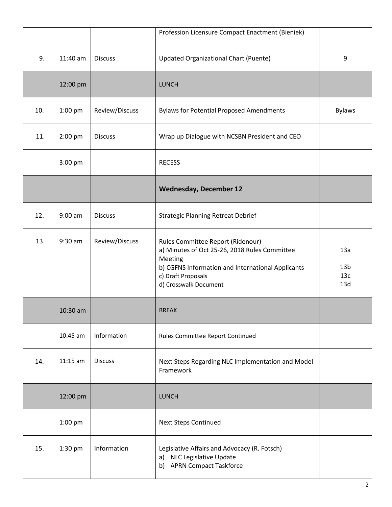|     |            |                | Profession Licensure Compact Enactment (Bieniek)                                                                                                                                                  |                                      |
|-----|------------|----------------|---------------------------------------------------------------------------------------------------------------------------------------------------------------------------------------------------|--------------------------------------|
| 9.  | 11:40 am   | <b>Discuss</b> | <b>Updated Organizational Chart (Puente)</b>                                                                                                                                                      | 9                                    |
|     | 12:00 pm   |                | <b>LUNCH</b>                                                                                                                                                                                      |                                      |
| 10. | 1:00 pm    | Review/Discuss | <b>Bylaws for Potential Proposed Amendments</b>                                                                                                                                                   | <b>Bylaws</b>                        |
| 11. | 2:00 pm    | <b>Discuss</b> | Wrap up Dialogue with NCSBN President and CEO                                                                                                                                                     |                                      |
|     | 3:00 pm    |                | <b>RECESS</b>                                                                                                                                                                                     |                                      |
|     |            |                | <b>Wednesday, December 12</b>                                                                                                                                                                     |                                      |
| 12. | $9:00$ am  | <b>Discuss</b> | <b>Strategic Planning Retreat Debrief</b>                                                                                                                                                         |                                      |
| 13. | $9:30$ am  | Review/Discuss | Rules Committee Report (Ridenour)<br>a) Minutes of Oct 25-26, 2018 Rules Committee<br>Meeting<br>b) CGFNS Information and International Applicants<br>c) Draft Proposals<br>d) Crosswalk Document | 13a<br>13 <sub>b</sub><br>13c<br>13d |
|     | $10:30$ am |                | <b>BREAK</b>                                                                                                                                                                                      |                                      |
|     | $10:45$ am | Information    | Rules Committee Report Continued                                                                                                                                                                  |                                      |
| 14. | $11:15$ am | <b>Discuss</b> | Next Steps Regarding NLC Implementation and Model<br>Framework                                                                                                                                    |                                      |
|     | 12:00 pm   |                | <b>LUNCH</b>                                                                                                                                                                                      |                                      |
|     | 1:00 pm    |                | <b>Next Steps Continued</b>                                                                                                                                                                       |                                      |
| 15. | 1:30 pm    | Information    | Legislative Affairs and Advocacy (R. Fotsch)<br>a) NLC Legislative Update<br><b>APRN Compact Taskforce</b><br>b)                                                                                  |                                      |